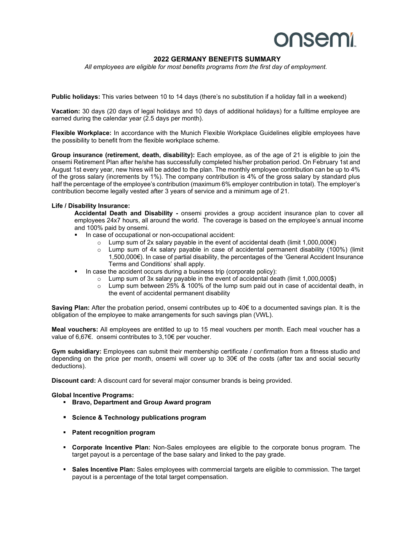## **onsemi**

## **2022 GERMANY BENEFITS SUMMARY**

*All employees are eligible for most benefits programs from the first day of employment.* 

**Public holidays:** This varies between 10 to 14 days (there's no substitution if a holiday fall in a weekend)

**Vacation:** 30 days (20 days of legal holidays and 10 days of additional holidays) for a fulltime employee are earned during the calendar year (2.5 days per month).

**Flexible Workplace:** In accordance with the Munich Flexible Workplace Guidelines eligible employees have the possibility to benefit from the flexible workplace scheme.

**Group insurance (retirement, death, disability):** Each employee, as of the age of 21 is eligible to join the onsemi Retirement Plan after he/she has successfully completed his/her probation period. On February 1st and August 1st every year, new hires will be added to the plan. The monthly employee contribution can be up to 4% of the gross salary (increments by 1%). The company contribution is 4% of the gross salary by standard plus half the percentage of the employee's contribution (maximum 6% employer contribution in total). The employer's contribution become legally vested after 3 years of service and a minimum age of 21.

## **Life / Disability Insurance:**

**Accidental Death and Disability -** onsemi provides a group accident insurance plan to cover all employees 24x7 hours, all around the world. The coverage is based on the employee's annual income and 100% paid by onsemi.

- In case of occupational or non-occupational accident:
	- o Lump sum of 2x salary payable in the event of accidental death (limit 1,000,000€)
	- $\circ$  Lump sum of 4x salary payable in case of accidental permanent disability (100%) (limit 1,500,000€). In case of partial disability, the percentages of the 'General Accident Insurance Terms and Conditions' shall apply.
- In case the accident occurs during a business trip (corporate policy):
	- $\circ$  Lump sum of 3x salary payable in the event of accidental death (limit 1,000,000\$)
	- $\circ$  Lump sum between 25% & 100% of the lump sum paid out in case of accidental death, in the event of accidental permanent disability

**Saving Plan:** After the probation period, onsemi contributes up to 40€ to a documented savings plan. It is the obligation of the employee to make arrangements for such savings plan (VWL).

**Meal vouchers:** All employees are entitled to up to 15 meal vouchers per month. Each meal voucher has a value of 6,67€. onsemi contributes to 3,10€ per voucher.

**Gym subsidiary:** Employees can submit their membership certificate / confirmation from a fitness studio and depending on the price per month, onsemi will cover up to 30€ of the costs (after tax and social security deductions).

**Discount card:** A discount card for several major consumer brands is being provided.

**Global Incentive Programs:** 

- **Bravo, Department and Group Award program**
- **Science & Technology publications program**
- **Patent recognition program**
- **Corporate Incentive Plan:** Non-Sales employees are eligible to the corporate bonus program. The target payout is a percentage of the base salary and linked to the pay grade.
- **Sales Incentive Plan:** Sales employees with commercial targets are eligible to commission. The target payout is a percentage of the total target compensation.